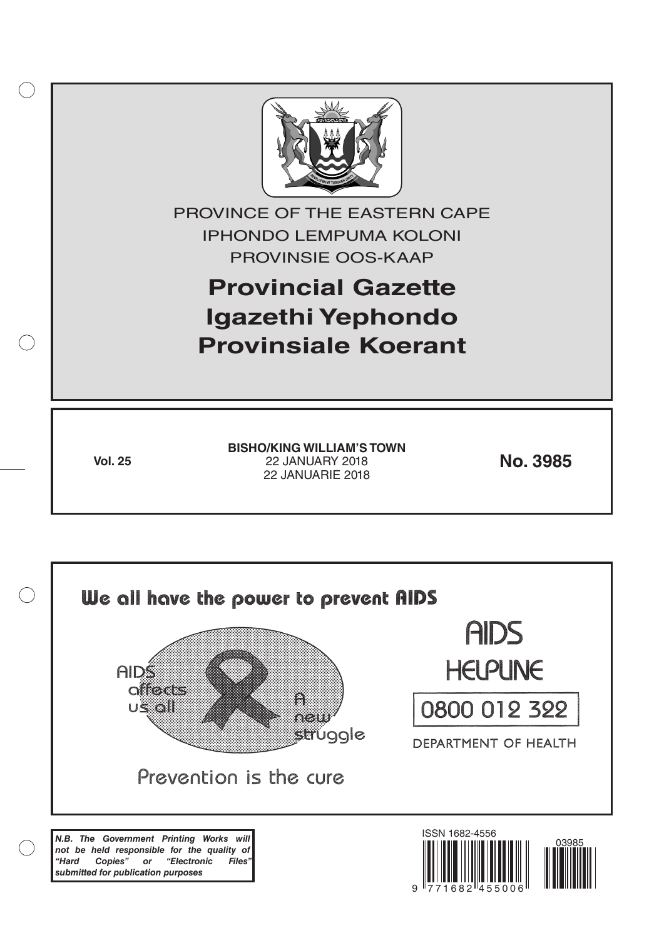

*not be held responsible for the quality of "Hard Copies" or "Electronic Files" submitted for publication purposes*

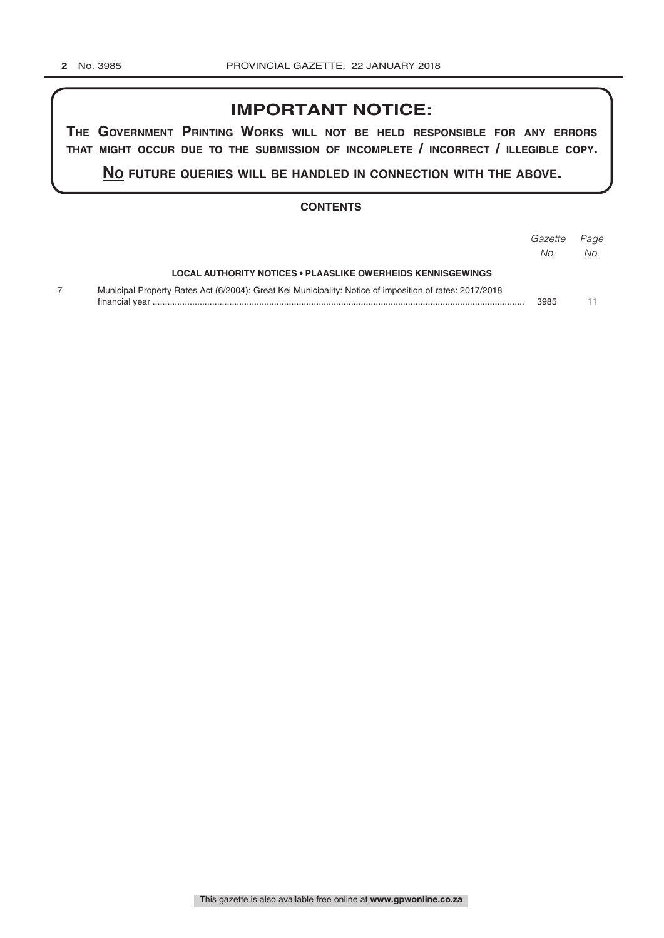# **IMPORTANT NOTICE:**

**The GovernmenT PrinTinG Works Will noT be held resPonsible for any errors ThaT miGhT occur due To The submission of incomPleTe / incorrecT / illeGible coPy.**

**no fuTure queries Will be handled in connecTion WiTh The above.**

## **CONTENTS**

|                                                                                                         | Gazette<br>No. | Page<br>No. |
|---------------------------------------------------------------------------------------------------------|----------------|-------------|
| LOCAL AUTHORITY NOTICES • PLAASLIKE OWERHEIDS KENNISGEWINGS                                             |                |             |
| Municipal Property Rates Act (6/2004): Great Kei Municipality: Notice of imposition of rates: 2017/2018 | 3985           |             |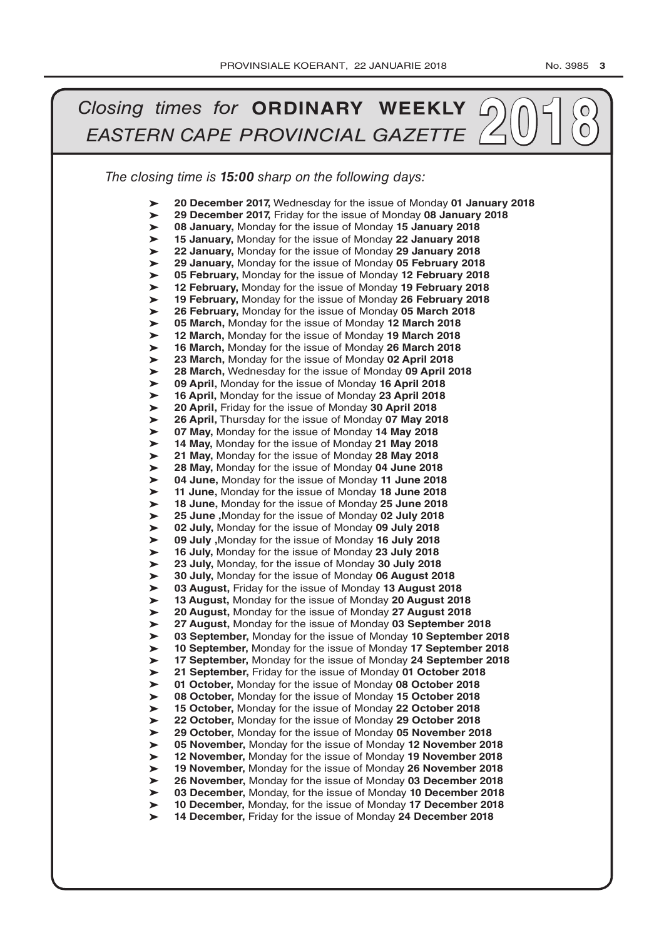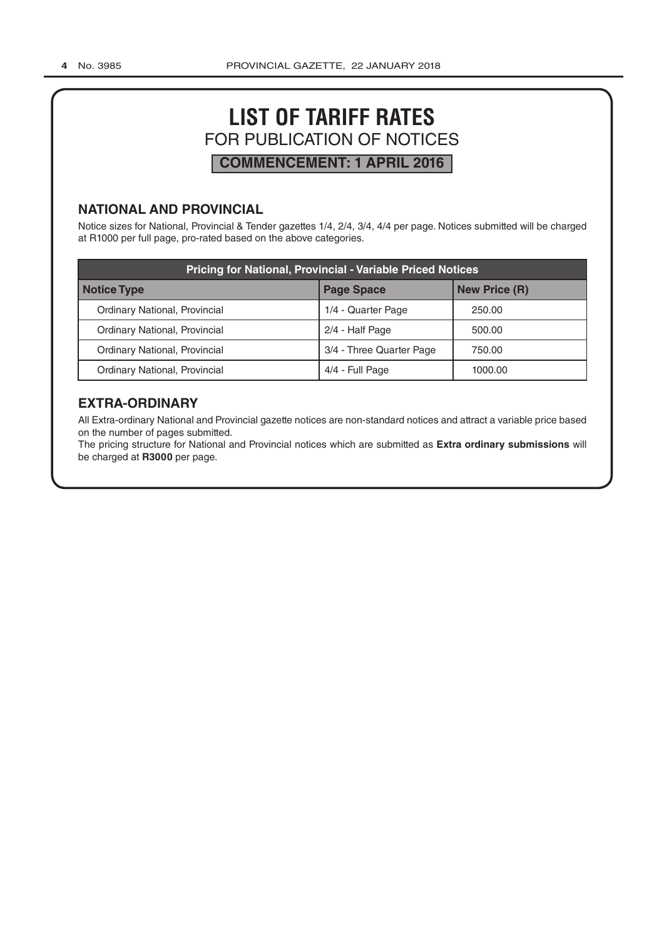# **LIST OF TARIFF RATES** FOR PUBLICATION OF NOTICES **COMMENCEMENT: 1 APRIL 2016**

# **NATIONAL AND PROVINCIAL**

Notice sizes for National, Provincial & Tender gazettes 1/4, 2/4, 3/4, 4/4 per page. Notices submitted will be charged at R1000 per full page, pro-rated based on the above categories.

| <b>Pricing for National, Provincial - Variable Priced Notices</b> |                          |                      |  |  |  |  |
|-------------------------------------------------------------------|--------------------------|----------------------|--|--|--|--|
| <b>Notice Type</b>                                                | <b>Page Space</b>        | <b>New Price (R)</b> |  |  |  |  |
| Ordinary National, Provincial                                     | 1/4 - Quarter Page       | 250.00               |  |  |  |  |
| Ordinary National, Provincial                                     | 2/4 - Half Page          | 500.00               |  |  |  |  |
| Ordinary National, Provincial                                     | 3/4 - Three Quarter Page | 750.00               |  |  |  |  |
| <b>Ordinary National, Provincial</b>                              | 4/4 - Full Page          | 1000.00              |  |  |  |  |

# **EXTRA-ORDINARY**

All Extra-ordinary National and Provincial gazette notices are non-standard notices and attract a variable price based on the number of pages submitted.

The pricing structure for National and Provincial notices which are submitted as **Extra ordinary submissions** will be charged at **R3000** per page.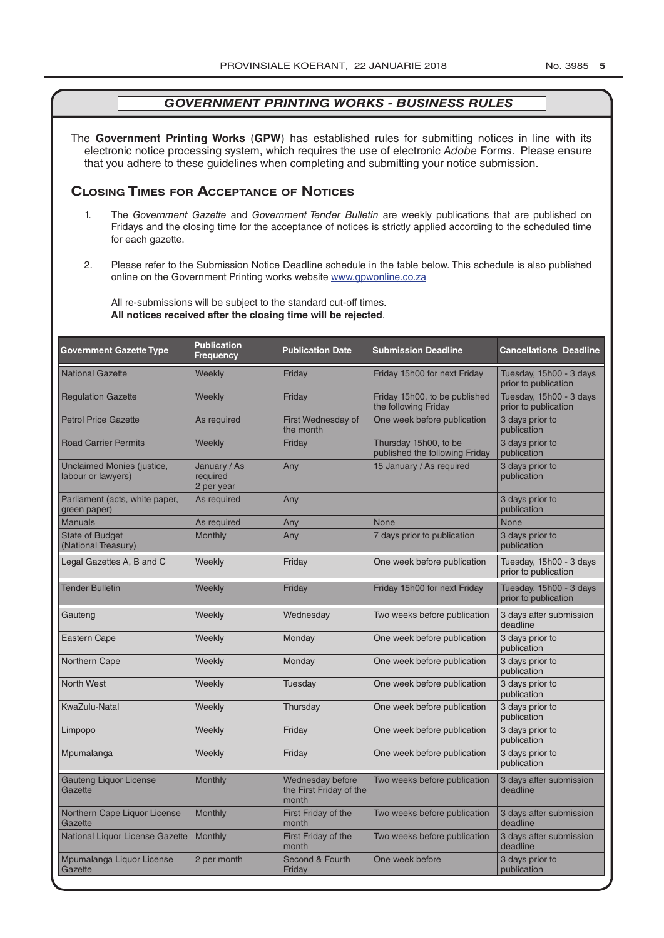The **Government Printing Works** (**GPW**) has established rules for submitting notices in line with its electronic notice processing system, which requires the use of electronic *Adobe* Forms. Please ensure that you adhere to these guidelines when completing and submitting your notice submission.

# **Closing Times for ACCepTAnCe of noTiCes**

- 1. The *Government Gazette* and *Government Tender Bulletin* are weekly publications that are published on Fridays and the closing time for the acceptance of notices is strictly applied according to the scheduled time for each gazette.
- 2. Please refer to the Submission Notice Deadline schedule in the table below. This schedule is also published online on the Government Printing works website www.gpwonline.co.za

All re-submissions will be subject to the standard cut-off times. **All notices received after the closing time will be rejected**.

| <b>Government Gazette Type</b>                   | <b>Publication</b><br><b>Frequency</b> | <b>Publication Date</b>                              | <b>Submission Deadline</b>                              | <b>Cancellations Deadline</b>                   |
|--------------------------------------------------|----------------------------------------|------------------------------------------------------|---------------------------------------------------------|-------------------------------------------------|
| <b>National Gazette</b>                          | Weekly                                 | Friday                                               | Friday 15h00 for next Friday                            | Tuesday, 15h00 - 3 days<br>prior to publication |
| <b>Regulation Gazette</b>                        | Weekly                                 | Friday                                               | Friday 15h00, to be published<br>the following Friday   | Tuesday, 15h00 - 3 days<br>prior to publication |
| <b>Petrol Price Gazette</b>                      | As required                            | First Wednesday of<br>the month                      | One week before publication                             | 3 days prior to<br>publication                  |
| <b>Road Carrier Permits</b>                      | Weekly                                 | Friday                                               | Thursday 15h00, to be<br>published the following Friday | 3 days prior to<br>publication                  |
| Unclaimed Monies (justice,<br>labour or lawyers) | January / As<br>required<br>2 per year | Any                                                  | 15 January / As required                                | 3 days prior to<br>publication                  |
| Parliament (acts, white paper,<br>green paper)   | As required                            | Any                                                  |                                                         | 3 days prior to<br>publication                  |
| <b>Manuals</b>                                   | As required                            | Any                                                  | <b>None</b>                                             | <b>None</b>                                     |
| <b>State of Budget</b><br>(National Treasury)    | Monthly                                | Any                                                  | 7 days prior to publication                             | 3 days prior to<br>publication                  |
| Legal Gazettes A, B and C                        | Weekly                                 | Friday                                               | One week before publication                             | Tuesday, 15h00 - 3 days<br>prior to publication |
| <b>Tender Bulletin</b>                           | Weekly                                 | Friday                                               | Friday 15h00 for next Friday                            | Tuesday, 15h00 - 3 days<br>prior to publication |
| Gauteng                                          | Weekly                                 | Wednesday                                            | Two weeks before publication                            | 3 days after submission<br>deadline             |
| Eastern Cape                                     | Weekly                                 | Monday                                               | One week before publication                             | 3 days prior to<br>publication                  |
| Northern Cape                                    | Weekly                                 | Monday                                               | One week before publication                             | 3 days prior to<br>publication                  |
| <b>North West</b>                                | Weekly                                 | Tuesday                                              | One week before publication                             | 3 days prior to<br>publication                  |
| KwaZulu-Natal                                    | Weekly                                 | Thursday                                             | One week before publication                             | 3 days prior to<br>publication                  |
| Limpopo                                          | Weekly                                 | Friday                                               | One week before publication                             | 3 days prior to<br>publication                  |
| Mpumalanga                                       | Weekly                                 | Friday                                               | One week before publication                             | 3 days prior to<br>publication                  |
| <b>Gauteng Liquor License</b><br>Gazette         | Monthly                                | Wednesday before<br>the First Friday of the<br>month | Two weeks before publication                            | 3 days after submission<br>deadline             |
| Northern Cape Liquor License<br>Gazette          | Monthly                                | First Friday of the<br>month                         | Two weeks before publication                            | 3 days after submission<br>deadline             |
| National Liquor License Gazette                  | Monthly                                | First Friday of the<br>month                         | Two weeks before publication                            | 3 days after submission<br>deadline             |
| Mpumalanga Liquor License<br>Gazette             | 2 per month                            | Second & Fourth<br>Friday                            | One week before                                         | 3 days prior to<br>publication                  |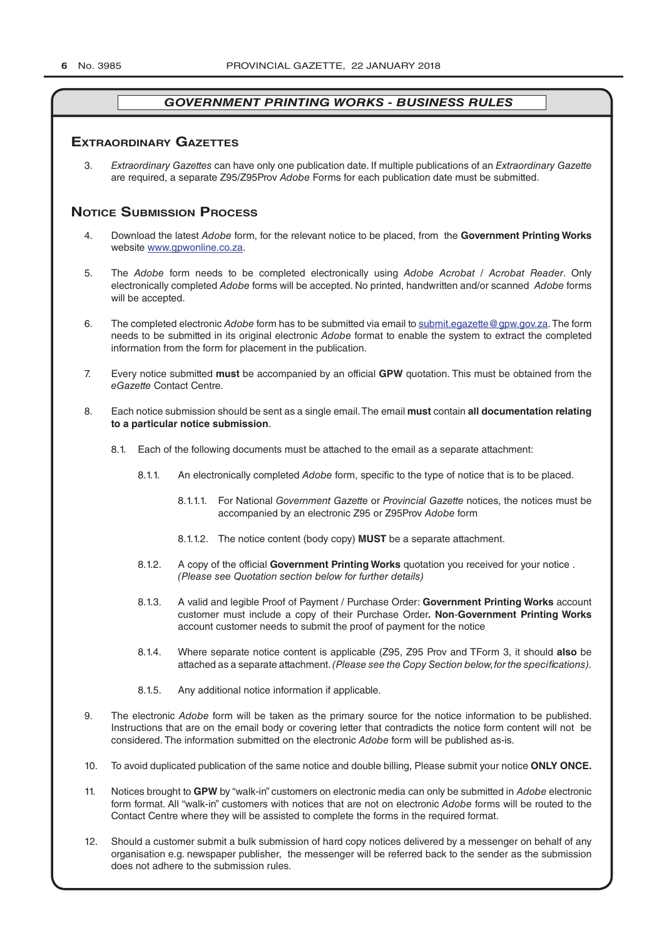#### **exTrAordinAry gAzeTTes**

3. *Extraordinary Gazettes* can have only one publication date. If multiple publications of an *Extraordinary Gazette* are required, a separate Z95/Z95Prov *Adobe* Forms for each publication date must be submitted.

# **NOTICE SUBMISSION PROCESS**

- 4. Download the latest *Adobe* form, for the relevant notice to be placed, from the **Government Printing Works** website www.gpwonline.co.za.
- 5. The *Adobe* form needs to be completed electronically using *Adobe Acrobat* / *Acrobat Reader*. Only electronically completed *Adobe* forms will be accepted. No printed, handwritten and/or scanned *Adobe* forms will be accepted.
- 6. The completed electronic *Adobe* form has to be submitted via email to submit.egazette@gpw.gov.za. The form needs to be submitted in its original electronic *Adobe* format to enable the system to extract the completed information from the form for placement in the publication.
- 7. Every notice submitted **must** be accompanied by an official **GPW** quotation. This must be obtained from the *eGazette* Contact Centre.
- 8. Each notice submission should be sent as a single email. The email **must** contain **all documentation relating to a particular notice submission**.
	- 8.1. Each of the following documents must be attached to the email as a separate attachment:
		- 8.1.1. An electronically completed *Adobe* form, specific to the type of notice that is to be placed.
			- 8.1.1.1. For National *Government Gazette* or *Provincial Gazette* notices, the notices must be accompanied by an electronic Z95 or Z95Prov *Adobe* form
			- 8.1.1.2. The notice content (body copy) **MUST** be a separate attachment.
		- 8.1.2. A copy of the official **Government Printing Works** quotation you received for your notice . *(Please see Quotation section below for further details)*
		- 8.1.3. A valid and legible Proof of Payment / Purchase Order: **Government Printing Works** account customer must include a copy of their Purchase Order*.* **Non**-**Government Printing Works** account customer needs to submit the proof of payment for the notice
		- 8.1.4. Where separate notice content is applicable (Z95, Z95 Prov and TForm 3, it should **also** be attached as a separate attachment. *(Please see the Copy Section below, for the specifications)*.
		- 8.1.5. Any additional notice information if applicable.
- 9. The electronic *Adobe* form will be taken as the primary source for the notice information to be published. Instructions that are on the email body or covering letter that contradicts the notice form content will not be considered. The information submitted on the electronic *Adobe* form will be published as-is.
- 10. To avoid duplicated publication of the same notice and double billing, Please submit your notice **ONLY ONCE.**
- 11. Notices brought to **GPW** by "walk-in" customers on electronic media can only be submitted in *Adobe* electronic form format. All "walk-in" customers with notices that are not on electronic *Adobe* forms will be routed to the Contact Centre where they will be assisted to complete the forms in the required format.
- 12. Should a customer submit a bulk submission of hard copy notices delivered by a messenger on behalf of any organisation e.g. newspaper publisher, the messenger will be referred back to the sender as the submission does not adhere to the submission rules.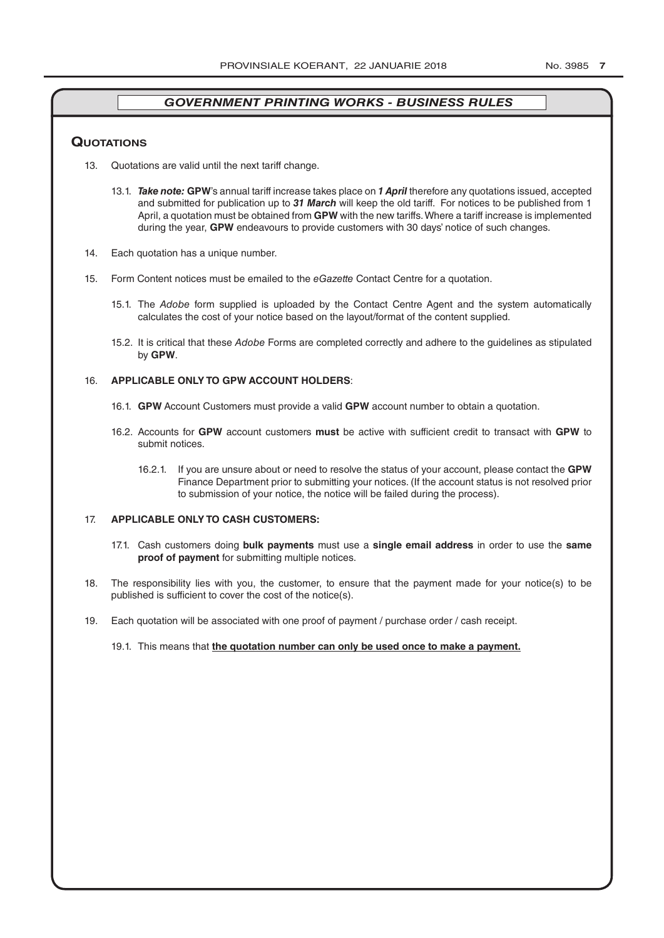#### **QuoTATions**

- 13. Quotations are valid until the next tariff change.
	- 13.1. *Take note:* **GPW**'s annual tariff increase takes place on *1 April* therefore any quotations issued, accepted and submitted for publication up to *31 March* will keep the old tariff. For notices to be published from 1 April, a quotation must be obtained from **GPW** with the new tariffs. Where a tariff increase is implemented during the year, **GPW** endeavours to provide customers with 30 days' notice of such changes.
- 14. Each quotation has a unique number.
- 15. Form Content notices must be emailed to the *eGazette* Contact Centre for a quotation.
	- 15.1. The *Adobe* form supplied is uploaded by the Contact Centre Agent and the system automatically calculates the cost of your notice based on the layout/format of the content supplied.
	- 15.2. It is critical that these *Adobe* Forms are completed correctly and adhere to the guidelines as stipulated by **GPW**.

#### 16. **APPLICABLE ONLY TO GPW ACCOUNT HOLDERS**:

- 16.1. **GPW** Account Customers must provide a valid **GPW** account number to obtain a quotation.
- 16.2. Accounts for **GPW** account customers **must** be active with sufficient credit to transact with **GPW** to submit notices.
	- 16.2.1. If you are unsure about or need to resolve the status of your account, please contact the **GPW** Finance Department prior to submitting your notices. (If the account status is not resolved prior to submission of your notice, the notice will be failed during the process).

#### 17. **APPLICABLE ONLY TO CASH CUSTOMERS:**

- 17.1. Cash customers doing **bulk payments** must use a **single email address** in order to use the **same proof of payment** for submitting multiple notices.
- 18. The responsibility lies with you, the customer, to ensure that the payment made for your notice(s) to be published is sufficient to cover the cost of the notice(s).
- 19. Each quotation will be associated with one proof of payment / purchase order / cash receipt.

#### 19.1. This means that **the quotation number can only be used once to make a payment.**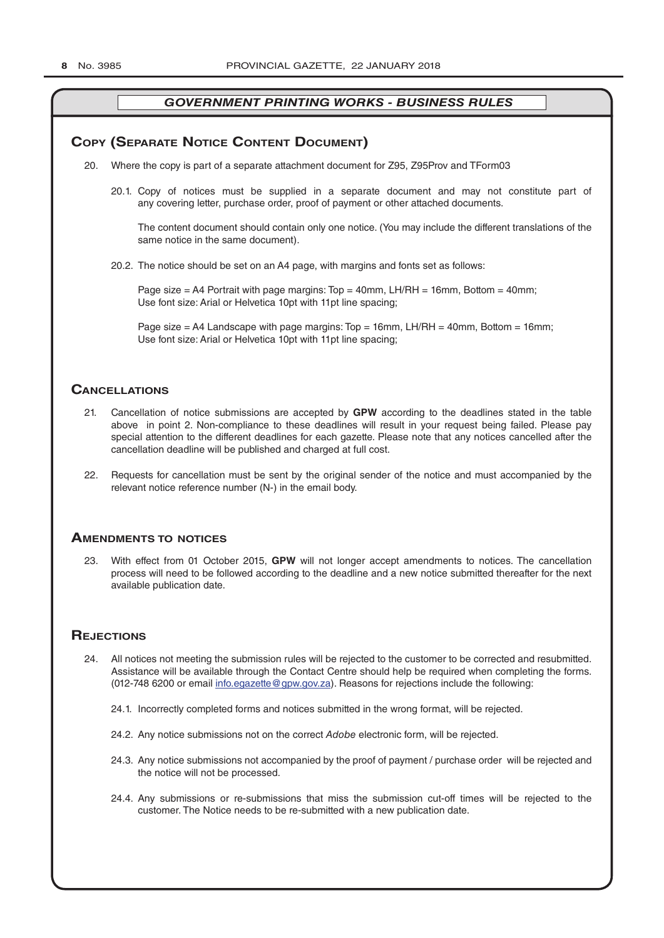## **COPY (SEPARATE NOTICE CONTENT DOCUMENT)**

- 20. Where the copy is part of a separate attachment document for Z95, Z95Prov and TForm03
	- 20.1. Copy of notices must be supplied in a separate document and may not constitute part of any covering letter, purchase order, proof of payment or other attached documents.

The content document should contain only one notice. (You may include the different translations of the same notice in the same document).

20.2. The notice should be set on an A4 page, with margins and fonts set as follows:

Page size  $=$  A4 Portrait with page margins: Top  $=$  40mm, LH/RH  $=$  16mm, Bottom  $=$  40mm; Use font size: Arial or Helvetica 10pt with 11pt line spacing;

Page size = A4 Landscape with page margins:  $Top = 16$ mm, LH/RH = 40mm, Bottom = 16mm; Use font size: Arial or Helvetica 10pt with 11pt line spacing;

#### **CAnCellATions**

- 21. Cancellation of notice submissions are accepted by **GPW** according to the deadlines stated in the table above in point 2. Non-compliance to these deadlines will result in your request being failed. Please pay special attention to the different deadlines for each gazette. Please note that any notices cancelled after the cancellation deadline will be published and charged at full cost.
- 22. Requests for cancellation must be sent by the original sender of the notice and must accompanied by the relevant notice reference number (N-) in the email body.

#### **AmendmenTs To noTiCes**

23. With effect from 01 October 2015, **GPW** will not longer accept amendments to notices. The cancellation process will need to be followed according to the deadline and a new notice submitted thereafter for the next available publication date.

## **REJECTIONS**

- 24. All notices not meeting the submission rules will be rejected to the customer to be corrected and resubmitted. Assistance will be available through the Contact Centre should help be required when completing the forms. (012-748 6200 or email info.egazette@gpw.gov.za). Reasons for rejections include the following:
	- 24.1. Incorrectly completed forms and notices submitted in the wrong format, will be rejected.
	- 24.2. Any notice submissions not on the correct *Adobe* electronic form, will be rejected.
	- 24.3. Any notice submissions not accompanied by the proof of payment / purchase order will be rejected and the notice will not be processed.
	- 24.4. Any submissions or re-submissions that miss the submission cut-off times will be rejected to the customer. The Notice needs to be re-submitted with a new publication date.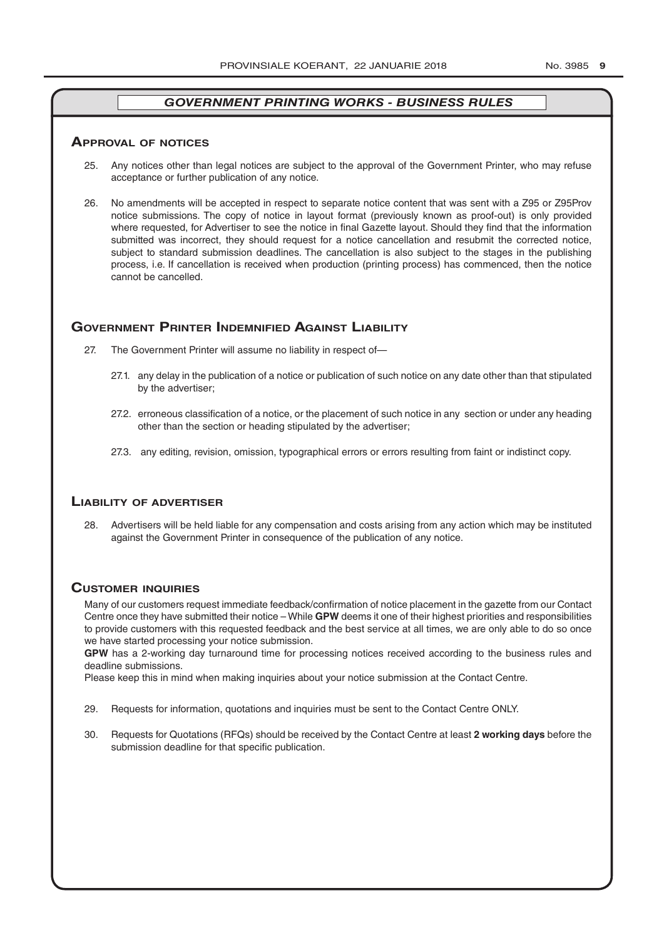#### **ApprovAl of noTiCes**

- 25. Any notices other than legal notices are subject to the approval of the Government Printer, who may refuse acceptance or further publication of any notice.
- 26. No amendments will be accepted in respect to separate notice content that was sent with a Z95 or Z95Prov notice submissions. The copy of notice in layout format (previously known as proof-out) is only provided where requested, for Advertiser to see the notice in final Gazette layout. Should they find that the information submitted was incorrect, they should request for a notice cancellation and resubmit the corrected notice, subject to standard submission deadlines. The cancellation is also subject to the stages in the publishing process, i.e. If cancellation is received when production (printing process) has commenced, then the notice cannot be cancelled.

#### **governmenT prinTer indemnified AgAinsT liAbiliTy**

- 27. The Government Printer will assume no liability in respect of—
	- 27.1. any delay in the publication of a notice or publication of such notice on any date other than that stipulated by the advertiser;
	- 27.2. erroneous classification of a notice, or the placement of such notice in any section or under any heading other than the section or heading stipulated by the advertiser;
	- 27.3. any editing, revision, omission, typographical errors or errors resulting from faint or indistinct copy.

#### **liAbiliTy of AdverTiser**

28. Advertisers will be held liable for any compensation and costs arising from any action which may be instituted against the Government Printer in consequence of the publication of any notice.

#### **CusTomer inQuiries**

Many of our customers request immediate feedback/confirmation of notice placement in the gazette from our Contact Centre once they have submitted their notice – While **GPW** deems it one of their highest priorities and responsibilities to provide customers with this requested feedback and the best service at all times, we are only able to do so once we have started processing your notice submission.

**GPW** has a 2-working day turnaround time for processing notices received according to the business rules and deadline submissions.

Please keep this in mind when making inquiries about your notice submission at the Contact Centre.

- 29. Requests for information, quotations and inquiries must be sent to the Contact Centre ONLY.
- 30. Requests for Quotations (RFQs) should be received by the Contact Centre at least **2 working days** before the submission deadline for that specific publication.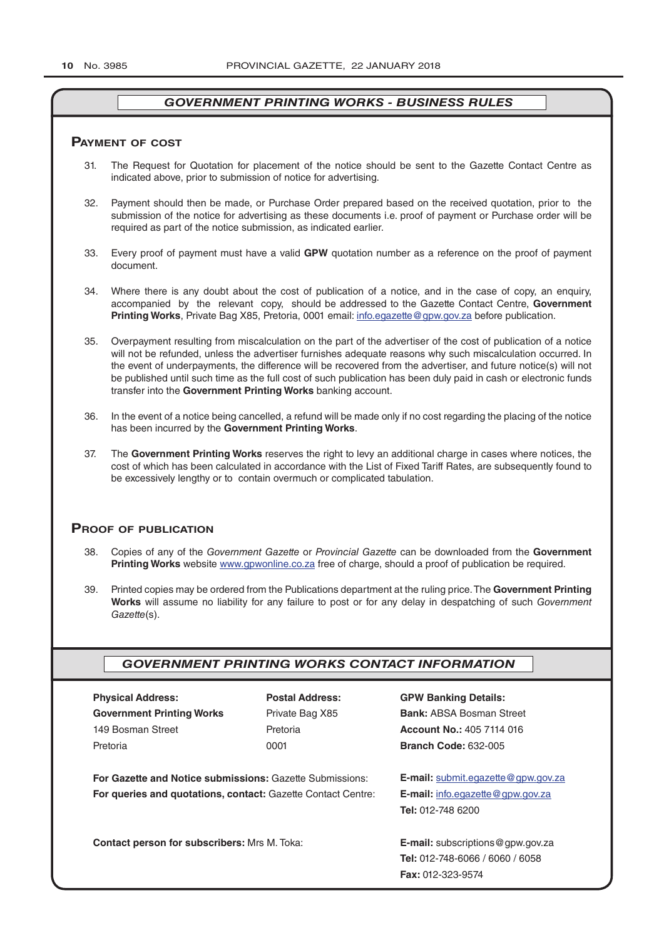#### **pAymenT of CosT**

- 31. The Request for Quotation for placement of the notice should be sent to the Gazette Contact Centre as indicated above, prior to submission of notice for advertising.
- 32. Payment should then be made, or Purchase Order prepared based on the received quotation, prior to the submission of the notice for advertising as these documents i.e. proof of payment or Purchase order will be required as part of the notice submission, as indicated earlier.
- 33. Every proof of payment must have a valid **GPW** quotation number as a reference on the proof of payment document.
- 34. Where there is any doubt about the cost of publication of a notice, and in the case of copy, an enquiry, accompanied by the relevant copy, should be addressed to the Gazette Contact Centre, **Government Printing Works**, Private Bag X85, Pretoria, 0001 email: info.egazette@gpw.gov.za before publication.
- 35. Overpayment resulting from miscalculation on the part of the advertiser of the cost of publication of a notice will not be refunded, unless the advertiser furnishes adequate reasons why such miscalculation occurred. In the event of underpayments, the difference will be recovered from the advertiser, and future notice(s) will not be published until such time as the full cost of such publication has been duly paid in cash or electronic funds transfer into the **Government Printing Works** banking account.
- 36. In the event of a notice being cancelled, a refund will be made only if no cost regarding the placing of the notice has been incurred by the **Government Printing Works**.
- 37. The **Government Printing Works** reserves the right to levy an additional charge in cases where notices, the cost of which has been calculated in accordance with the List of Fixed Tariff Rates, are subsequently found to be excessively lengthy or to contain overmuch or complicated tabulation.

#### **proof of publiCATion**

- 38. Copies of any of the *Government Gazette* or *Provincial Gazette* can be downloaded from the **Government Printing Works** website www.gpwonline.co.za free of charge, should a proof of publication be required.
- 39. Printed copies may be ordered from the Publications department at the ruling price. The **Government Printing Works** will assume no liability for any failure to post or for any delay in despatching of such *Government Gazette*(s).

## *GOVERNMENT PRINTING WORKS CONTACT INFORMATION*

| <b>Physical Address:</b>         |  |  |  |  |
|----------------------------------|--|--|--|--|
| <b>Government Printing Works</b> |  |  |  |  |
| 149 Bosman Street                |  |  |  |  |
| Pretoria                         |  |  |  |  |

**For Gazette and Notice submissions:** Gazette Submissions: **E-mail:** submit.egazette@gpw.gov.za **For queries and quotations, contact:** Gazette Contact Centre: **E-mail:** info.egazette@gpw.gov.za

**Contact person for subscribers:** Mrs M. Toka: **E-mail:** subscriptions@gpw.gov.za

**Physical Address: Postal Address: GPW Banking Details:**

Private Bag X85 **Bank:** ABSA Bosman Street 149 Bosman Street Pretoria **Account No.:** 405 7114 016 Pretoria 0001 **Branch Code:** 632-005

**Tel:** 012-748 6200

**Tel:** 012-748-6066 / 6060 / 6058 **Fax:** 012-323-9574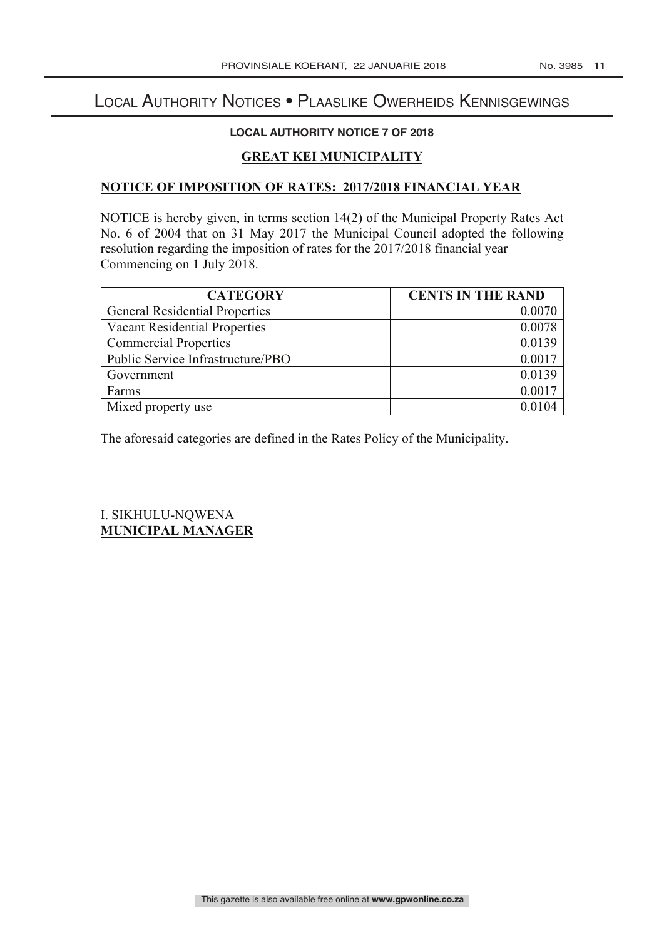# Local Authority Notices • Plaaslike Owerheids Kennisgewings

# **LOCAL AUTHORITY NOTICE 7 OF 2018**

# **GREAT KEI MUNICIPALITY**

# **NOTICE OF IMPOSITION OF RATES: 2017/2018 FINANCIAL YEAR**

NOTICE is hereby given, in terms section 14(2) of the Municipal Property Rates Act No. 6 of 2004 that on 31 May 2017 the Municipal Council adopted the following resolution regarding the imposition of rates for the 2017/2018 financial year Commencing on 1 July 2018.

| <b>CATEGORY</b>                       | <b>CENTS IN THE RAND</b> |
|---------------------------------------|--------------------------|
| <b>General Residential Properties</b> | 0.0070                   |
| <b>Vacant Residential Properties</b>  | 0.0078                   |
| <b>Commercial Properties</b>          | 0.0139                   |
| Public Service Infrastructure/PBO     | 0.0017                   |
| Government                            | 0.0139                   |
| Farms                                 | 0.0017                   |
| Mixed property use                    |                          |

The aforesaid categories are defined in the Rates Policy of the Municipality.

I. SIKHULU-NQWENA **MUNICIPAL MANAGER**